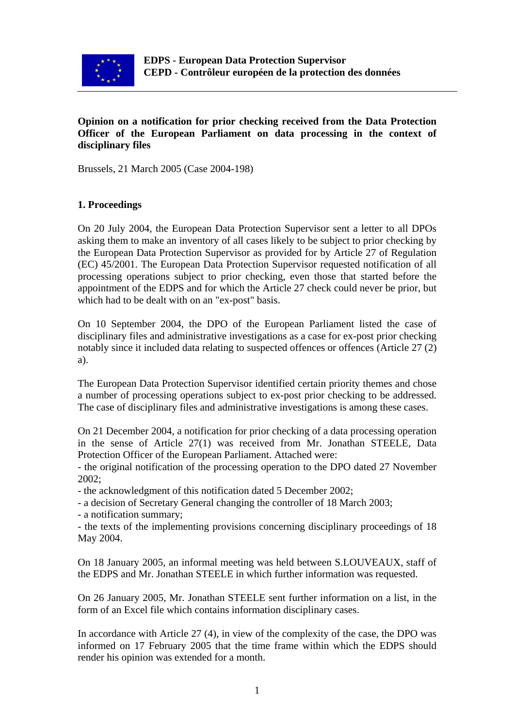

# **Opinion on a notification for prior checking received from the Data Protection Officer of the European Parliament on data processing in the context of disciplinary files**

Brussels, 21 March 2005 (Case 2004-198)

### **1. Proceedings**

On 20 July 2004, the European Data Protection Supervisor sent a letter to all DPOs asking them to make an inventory of all cases likely to be subject to prior checking by the European Data Protection Supervisor as provided for by Article 27 of Regulation (EC) 45/2001. The European Data Protection Supervisor requested notification of all processing operations subject to prior checking, even those that started before the appointment of the EDPS and for which the Article 27 check could never be prior, but which had to be dealt with on an "ex-post" basis.

On 10 September 2004, the DPO of the European Parliament listed the case of disciplinary files and administrative investigations as a case for ex-post prior checking notably since it included data relating to suspected offences or offences (Article 27 (2) a).

The European Data Protection Supervisor identified certain priority themes and chose a number of processing operations subject to ex-post prior checking to be addressed. The case of disciplinary files and administrative investigations is among these cases.

On 21 December 2004, a notification for prior checking of a data processing operation in the sense of Article 27(1) was received from Mr. Jonathan STEELE, Data Protection Officer of the European Parliament. Attached were:

- the original notification of the processing operation to the DPO dated 27 November 2002;

- the acknowledgment of this notification dated 5 December 2002;

- a decision of Secretary General changing the controller of 18 March 2003;

- a notification summary;

- the texts of the implementing provisions concerning disciplinary proceedings of 18 May 2004.

On 18 January 2005, an informal meeting was held between S.LOUVEAUX, staff of the EDPS and Mr. Jonathan STEELE in which further information was requested.

On 26 January 2005, Mr. Jonathan STEELE sent further information on a list, in the form of an Excel file which contains information disciplinary cases.

In accordance with Article 27 (4), in view of the complexity of the case, the DPO was informed on 17 February 2005 that the time frame within which the EDPS should render his opinion was extended for a month.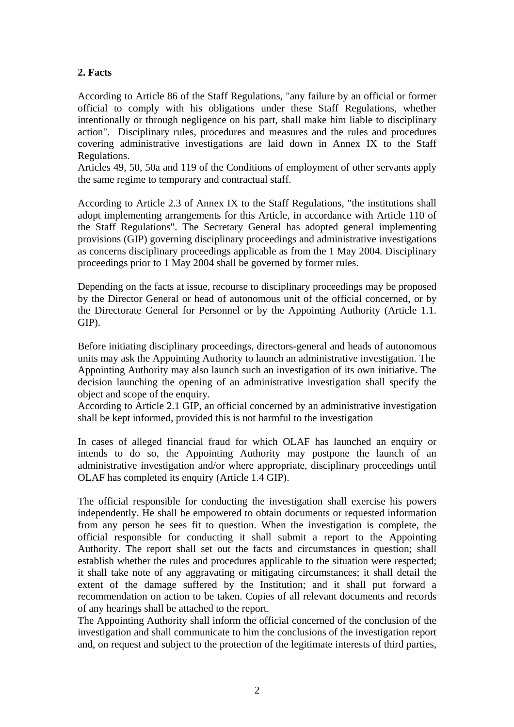### **2. Facts**

According to Article 86 of the Staff Regulations, "any failure by an official or former official to comply with his obligations under these Staff Regulations, whether intentionally or through negligence on his part, shall make him liable to disciplinary action". Disciplinary rules, procedures and measures and the rules and procedures covering administrative investigations are laid down in Annex IX to the Staff Regulations.

Articles 49, 50, 50a and 119 of the Conditions of employment of other servants apply the same regime to temporary and contractual staff.

According to Article 2.3 of Annex IX to the Staff Regulations, "the institutions shall adopt implementing arrangements for this Article, in accordance with Article 110 of the Staff Regulations". The Secretary General has adopted general implementing provisions (GIP) governing disciplinary proceedings and administrative investigations as concerns disciplinary proceedings applicable as from the 1 May 2004. Disciplinary proceedings prior to 1 May 2004 shall be governed by former rules.

Depending on the facts at issue, recourse to disciplinary proceedings may be proposed by the Director General or head of autonomous unit of the official concerned, or by the Directorate General for Personnel or by the Appointing Authority (Article 1.1. GIP).

Before initiating disciplinary proceedings, directors-general and heads of autonomous units may ask the Appointing Authority to launch an administrative investigation. The Appointing Authority may also launch such an investigation of its own initiative. The decision launching the opening of an administrative investigation shall specify the object and scope of the enquiry.

According to Article 2.1 GIP, an official concerned by an administrative investigation shall be kept informed, provided this is not harmful to the investigation

In cases of alleged financial fraud for which OLAF has launched an enquiry or intends to do so, the Appointing Authority may postpone the launch of an administrative investigation and/or where appropriate, disciplinary proceedings until OLAF has completed its enquiry (Article 1.4 GIP).

The official responsible for conducting the investigation shall exercise his powers independently. He shall be empowered to obtain documents or requested information from any person he sees fit to question. When the investigation is complete, the official responsible for conducting it shall submit a report to the Appointing Authority. The report shall set out the facts and circumstances in question; shall establish whether the rules and procedures applicable to the situation were respected; it shall take note of any aggravating or mitigating circumstances; it shall detail the extent of the damage suffered by the Institution; and it shall put forward a recommendation on action to be taken. Copies of all relevant documents and records of any hearings shall be attached to the report.

The Appointing Authority shall inform the official concerned of the conclusion of the investigation and shall communicate to him the conclusions of the investigation report and, on request and subject to the protection of the legitimate interests of third parties,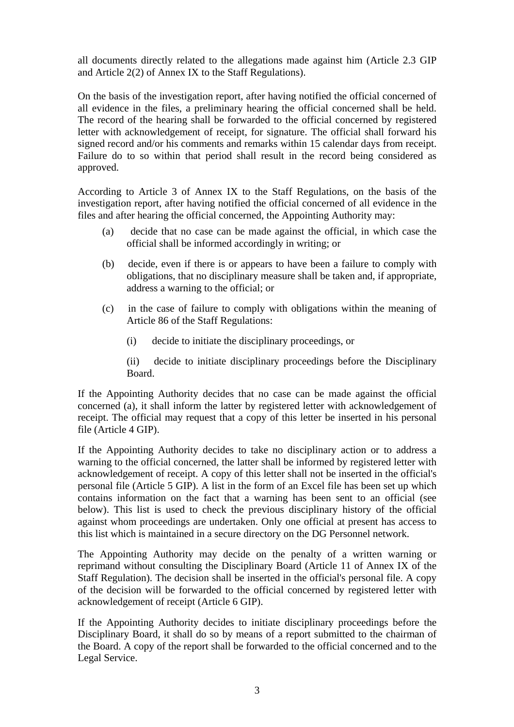all documents directly related to the allegations made against him (Article 2.3 GIP and Article 2(2) of Annex IX to the Staff Regulations).

On the basis of the investigation report, after having notified the official concerned of all evidence in the files, a preliminary hearing the official concerned shall be held. The record of the hearing shall be forwarded to the official concerned by registered letter with acknowledgement of receipt, for signature. The official shall forward his signed record and/or his comments and remarks within 15 calendar days from receipt. Failure do to so within that period shall result in the record being considered as approved.

According to Article 3 of Annex IX to the Staff Regulations, on the basis of the investigation report, after having notified the official concerned of all evidence in the files and after hearing the official concerned, the Appointing Authority may:

- (a) decide that no case can be made against the official, in which case the official shall be informed accordingly in writing; or
- (b) decide, even if there is or appears to have been a failure to comply with obligations, that no disciplinary measure shall be taken and, if appropriate, address a warning to the official; or
- (c) in the case of failure to comply with obligations within the meaning of Article 86 of the Staff Regulations:
	- (i) decide to initiate the disciplinary proceedings, or

(ii) decide to initiate disciplinary proceedings before the Disciplinary Board.

If the Appointing Authority decides that no case can be made against the official concerned (a), it shall inform the latter by registered letter with acknowledgement of receipt. The official may request that a copy of this letter be inserted in his personal file (Article 4 GIP).

If the Appointing Authority decides to take no disciplinary action or to address a warning to the official concerned, the latter shall be informed by registered letter with acknowledgement of receipt. A copy of this letter shall not be inserted in the official's personal file (Article 5 GIP). A list in the form of an Excel file has been set up which contains information on the fact that a warning has been sent to an official (see below). This list is used to check the previous disciplinary history of the official against whom proceedings are undertaken. Only one official at present has access to this list which is maintained in a secure directory on the DG Personnel network.

The Appointing Authority may decide on the penalty of a written warning or reprimand without consulting the Disciplinary Board (Article 11 of Annex IX of the Staff Regulation). The decision shall be inserted in the official's personal file. A copy of the decision will be forwarded to the official concerned by registered letter with acknowledgement of receipt (Article 6 GIP).

If the Appointing Authority decides to initiate disciplinary proceedings before the Disciplinary Board, it shall do so by means of a report submitted to the chairman of the Board. A copy of the report shall be forwarded to the official concerned and to the Legal Service.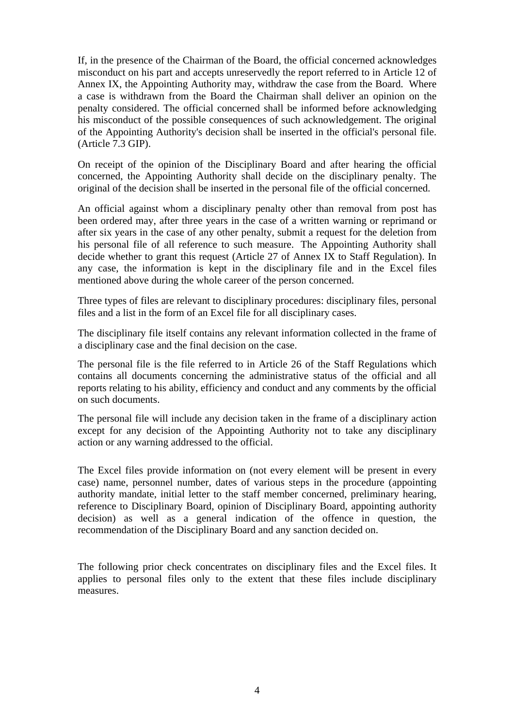If, in the presence of the Chairman of the Board, the official concerned acknowledges misconduct on his part and accepts unreservedly the report referred to in Article 12 of Annex IX, the Appointing Authority may, withdraw the case from the Board. Where a case is withdrawn from the Board the Chairman shall deliver an opinion on the penalty considered. The official concerned shall be informed before acknowledging his misconduct of the possible consequences of such acknowledgement. The original of the Appointing Authority's decision shall be inserted in the official's personal file. (Article 7.3 GIP).

On receipt of the opinion of the Disciplinary Board and after hearing the official concerned, the Appointing Authority shall decide on the disciplinary penalty. The original of the decision shall be inserted in the personal file of the official concerned.

An official against whom a disciplinary penalty other than removal from post has been ordered may, after three years in the case of a written warning or reprimand or after six years in the case of any other penalty, submit a request for the deletion from his personal file of all reference to such measure. The Appointing Authority shall decide whether to grant this request (Article 27 of Annex IX to Staff Regulation). In any case, the information is kept in the disciplinary file and in the Excel files mentioned above during the whole career of the person concerned.

Three types of files are relevant to disciplinary procedures: disciplinary files, personal files and a list in the form of an Excel file for all disciplinary cases.

The disciplinary file itself contains any relevant information collected in the frame of a disciplinary case and the final decision on the case.

The personal file is the file referred to in Article 26 of the Staff Regulations which contains all documents concerning the administrative status of the official and all reports relating to his ability, efficiency and conduct and any comments by the official on such documents.

The personal file will include any decision taken in the frame of a disciplinary action except for any decision of the Appointing Authority not to take any disciplinary action or any warning addressed to the official.

The Excel files provide information on (not every element will be present in every case) name, personnel number, dates of various steps in the procedure (appointing authority mandate, initial letter to the staff member concerned, preliminary hearing, reference to Disciplinary Board, opinion of Disciplinary Board, appointing authority decision) as well as a general indication of the offence in question, the recommendation of the Disciplinary Board and any sanction decided on.

The following prior check concentrates on disciplinary files and the Excel files. It applies to personal files only to the extent that these files include disciplinary measures.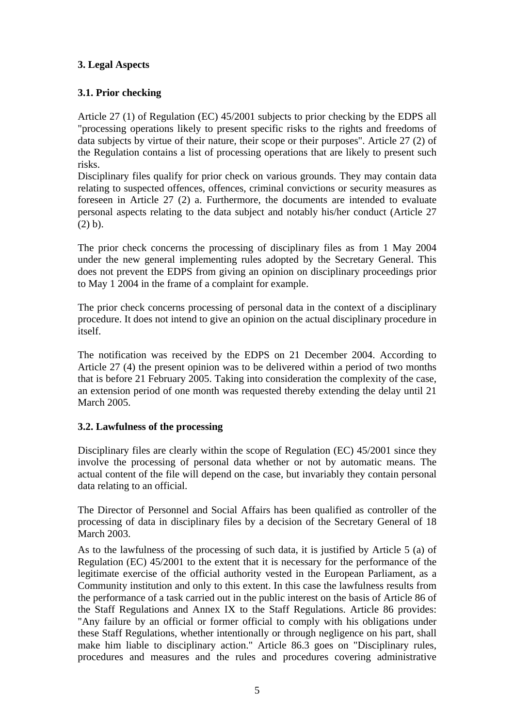# **3. Legal Aspects**

# **3.1. Prior checking**

Article 27 (1) of Regulation (EC) 45/2001 subjects to prior checking by the EDPS all "processing operations likely to present specific risks to the rights and freedoms of data subjects by virtue of their nature, their scope or their purposes". Article 27 (2) of the Regulation contains a list of processing operations that are likely to present such risks.

Disciplinary files qualify for prior check on various grounds. They may contain data relating to suspected offences, offences, criminal convictions or security measures as foreseen in Article 27 (2) a. Furthermore, the documents are intended to evaluate personal aspects relating to the data subject and notably his/her conduct (Article 27 (2) b).

The prior check concerns the processing of disciplinary files as from 1 May 2004 under the new general implementing rules adopted by the Secretary General. This does not prevent the EDPS from giving an opinion on disciplinary proceedings prior to May 1 2004 in the frame of a complaint for example.

The prior check concerns processing of personal data in the context of a disciplinary procedure. It does not intend to give an opinion on the actual disciplinary procedure in itself.

The notification was received by the EDPS on 21 December 2004. According to Article 27 (4) the present opinion was to be delivered within a period of two months that is before 21 February 2005. Taking into consideration the complexity of the case, an extension period of one month was requested thereby extending the delay until 21 March 2005.

# **3.2. Lawfulness of the processing**

Disciplinary files are clearly within the scope of Regulation (EC) 45/2001 since they involve the processing of personal data whether or not by automatic means. The actual content of the file will depend on the case, but invariably they contain personal data relating to an official.

The Director of Personnel and Social Affairs has been qualified as controller of the processing of data in disciplinary files by a decision of the Secretary General of 18 March 2003.

As to the lawfulness of the processing of such data, it is justified by Article 5 (a) of Regulation (EC) 45/2001 to the extent that it is necessary for the performance of the legitimate exercise of the official authority vested in the European Parliament, as a Community institution and only to this extent. In this case the lawfulness results from the performance of a task carried out in the public interest on the basis of Article 86 of the Staff Regulations and Annex IX to the Staff Regulations. Article 86 provides: "Any failure by an official or former official to comply with his obligations under these Staff Regulations, whether intentionally or through negligence on his part, shall make him liable to disciplinary action." Article 86.3 goes on "Disciplinary rules, procedures and measures and the rules and procedures covering administrative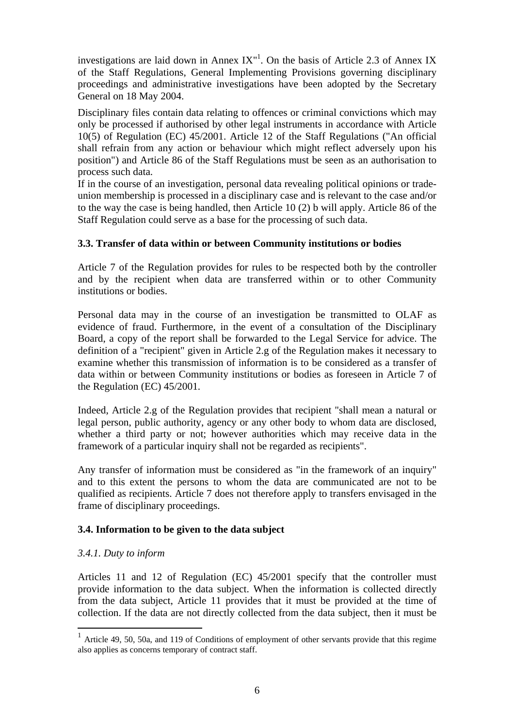investigations are laid down in Annex  $IX''$ . On the basis of Article 2.3 of Annex IX of the Staff Regulations, General Implementing Provisions governing disciplinary proceedings and administrative investigations have been adopted by the Secretary General on 18 May 2004.

Disciplinary files contain data relating to offences or criminal convictions which may only be processed if authorised by other legal instruments in accordance with Article 10(5) of Regulation (EC) 45/2001. Article 12 of the Staff Regulations ("An official shall refrain from any action or behaviour which might reflect adversely upon his position") and Article 86 of the Staff Regulations must be seen as an authorisation to process such data.

If in the course of an investigation, personal data revealing political opinions or tradeunion membership is processed in a disciplinary case and is relevant to the case and/or to the way the case is being handled, then Article 10 (2) b will apply. Article 86 of the Staff Regulation could serve as a base for the processing of such data.

# **3.3. Transfer of data within or between Community institutions or bodies**

Article 7 of the Regulation provides for rules to be respected both by the controller and by the recipient when data are transferred within or to other Community institutions or bodies.

Personal data may in the course of an investigation be transmitted to OLAF as evidence of fraud. Furthermore, in the event of a consultation of the Disciplinary Board, a copy of the report shall be forwarded to the Legal Service for advice. The definition of a "recipient" given in Article 2.g of the Regulation makes it necessary to examine whether this transmission of information is to be considered as a transfer of data within or between Community institutions or bodies as foreseen in Article 7 of the Regulation (EC) 45/2001.

Indeed, Article 2.g of the Regulation provides that recipient "shall mean a natural or legal person, public authority, agency or any other body to whom data are disclosed, whether a third party or not; however authorities which may receive data in the framework of a particular inquiry shall not be regarded as recipients".

Any transfer of information must be considered as "in the framework of an inquiry" and to this extent the persons to whom the data are communicated are not to be qualified as recipients. Article 7 does not therefore apply to transfers envisaged in the frame of disciplinary proceedings.

# **3.4. Information to be given to the data subject**

#### *3.4.1. Duty to inform*

 $\overline{a}$ 

Articles 11 and 12 of Regulation (EC) 45/2001 specify that the controller must provide information to the data subject. When the information is collected directly from the data subject, Article 11 provides that it must be provided at the time of collection. If the data are not directly collected from the data subject, then it must be

<span id="page-5-0"></span><sup>&</sup>lt;sup>1</sup> Article 49, 50, 50a, and 119 of Conditions of employment of other servants provide that this regime also applies as concerns temporary of contract staff.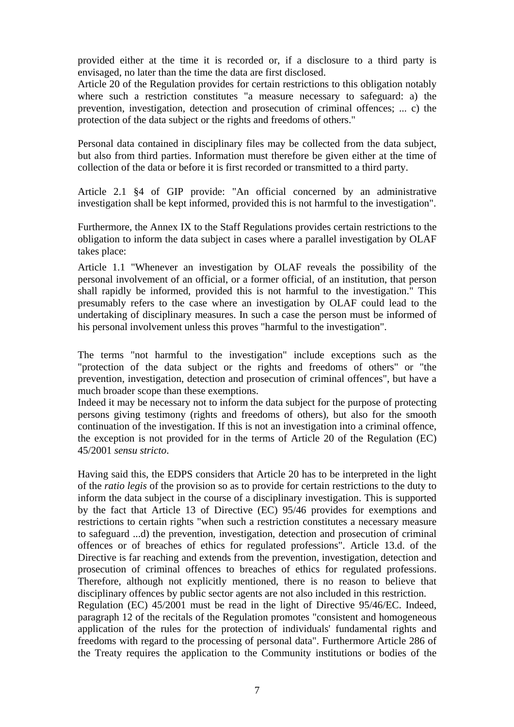provided either at the time it is recorded or, if a disclosure to a third party is envisaged, no later than the time the data are first disclosed.

Article 20 of the Regulation provides for certain restrictions to this obligation notably where such a restriction constitutes "a measure necessary to safeguard: a) the prevention, investigation, detection and prosecution of criminal offences; ... c) the protection of the data subject or the rights and freedoms of others."

Personal data contained in disciplinary files may be collected from the data subject, but also from third parties. Information must therefore be given either at the time of collection of the data or before it is first recorded or transmitted to a third party.

Article 2.1 §4 of GIP provide: "An official concerned by an administrative investigation shall be kept informed, provided this is not harmful to the investigation".

Furthermore, the Annex IX to the Staff Regulations provides certain restrictions to the obligation to inform the data subject in cases where a parallel investigation by OLAF takes place:

Article 1.1 "Whenever an investigation by OLAF reveals the possibility of the personal involvement of an official, or a former official, of an institution, that person shall rapidly be informed, provided this is not harmful to the investigation." This presumably refers to the case where an investigation by OLAF could lead to the undertaking of disciplinary measures. In such a case the person must be informed of his personal involvement unless this proves "harmful to the investigation".

The terms "not harmful to the investigation" include exceptions such as the "protection of the data subject or the rights and freedoms of others" or "the prevention, investigation, detection and prosecution of criminal offences", but have a much broader scope than these exemptions.

Indeed it may be necessary not to inform the data subject for the purpose of protecting persons giving testimony (rights and freedoms of others), but also for the smooth continuation of the investigation. If this is not an investigation into a criminal offence, the exception is not provided for in the terms of Article 20 of the Regulation (EC) 45/2001 *sensu stricto*.

Having said this, the EDPS considers that Article 20 has to be interpreted in the light of the *ratio legis* of the provision so as to provide for certain restrictions to the duty to inform the data subject in the course of a disciplinary investigation. This is supported by the fact that Article 13 of Directive (EC) 95/46 provides for exemptions and restrictions to certain rights "when such a restriction constitutes a necessary measure to safeguard ...d) the prevention, investigation, detection and prosecution of criminal offences or of breaches of ethics for regulated professions". Article 13.d. of the Directive is far reaching and extends from the prevention, investigation, detection and prosecution of criminal offences to breaches of ethics for regulated professions. Therefore, although not explicitly mentioned, there is no reason to believe that disciplinary offences by public sector agents are not also included in this restriction. Regulation (EC) 45/2001 must be read in the light of Directive 95/46/EC. Indeed, paragraph 12 of the recitals of the Regulation promotes "consistent and homogeneous application of the rules for the protection of individuals' fundamental rights and freedoms with regard to the processing of personal data". Furthermore Article 286 of the Treaty requires the application to the Community institutions or bodies of the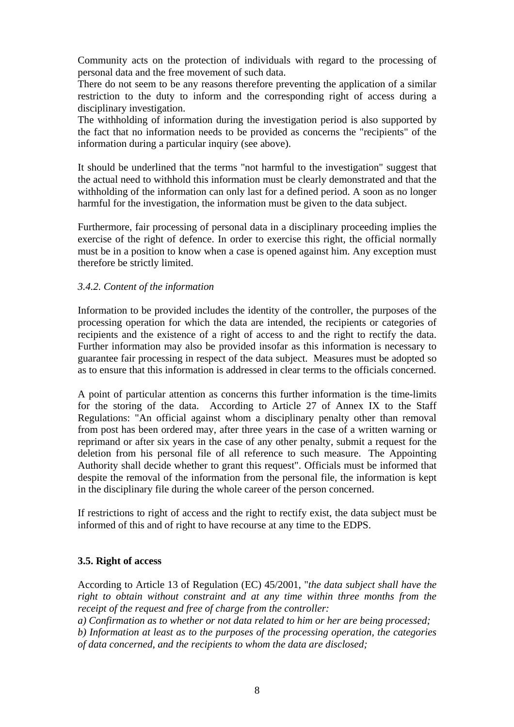Community acts on the protection of individuals with regard to the processing of personal data and the free movement of such data.

There do not seem to be any reasons therefore preventing the application of a similar restriction to the duty to inform and the corresponding right of access during a disciplinary investigation.

The withholding of information during the investigation period is also supported by the fact that no information needs to be provided as concerns the "recipients" of the information during a particular inquiry (see above).

It should be underlined that the terms "not harmful to the investigation" suggest that the actual need to withhold this information must be clearly demonstrated and that the withholding of the information can only last for a defined period. A soon as no longer harmful for the investigation, the information must be given to the data subject.

Furthermore, fair processing of personal data in a disciplinary proceeding implies the exercise of the right of defence. In order to exercise this right, the official normally must be in a position to know when a case is opened against him. Any exception must therefore be strictly limited.

#### *3.4.2. Content of the information*

Information to be provided includes the identity of the controller, the purposes of the processing operation for which the data are intended, the recipients or categories of recipients and the existence of a right of access to and the right to rectify the data. Further information may also be provided insofar as this information is necessary to guarantee fair processing in respect of the data subject. Measures must be adopted so as to ensure that this information is addressed in clear terms to the officials concerned.

A point of particular attention as concerns this further information is the time-limits for the storing of the data. According to Article 27 of Annex IX to the Staff Regulations: "An official against whom a disciplinary penalty other than removal from post has been ordered may, after three years in the case of a written warning or reprimand or after six years in the case of any other penalty, submit a request for the deletion from his personal file of all reference to such measure. The Appointing Authority shall decide whether to grant this request". Officials must be informed that despite the removal of the information from the personal file, the information is kept in the disciplinary file during the whole career of the person concerned.

If restrictions to right of access and the right to rectify exist, the data subject must be informed of this and of right to have recourse at any time to the EDPS.

#### **3.5. Right of access**

According to Article 13 of Regulation (EC) 45/2001, "*the data subject shall have the right to obtain without constraint and at any time within three months from the receipt of the request and free of charge from the controller:* 

*a) Confirmation as to whether or not data related to him or her are being processed; b) Information at least as to the purposes of the processing operation, the categories of data concerned, and the recipients to whom the data are disclosed;*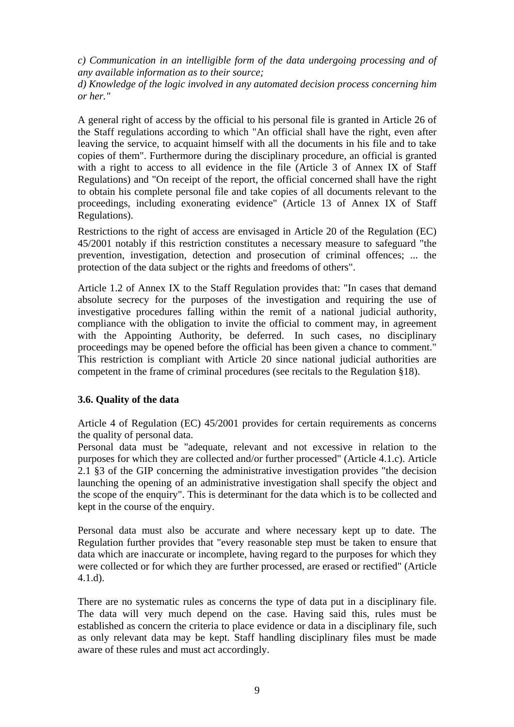*c) Communication in an intelligible form of the data undergoing processing and of any available information as to their source;* 

*d) Knowledge of the logic involved in any automated decision process concerning him or her."* 

A general right of access by the official to his personal file is granted in Article 26 of the Staff regulations according to which "An official shall have the right, even after leaving the service, to acquaint himself with all the documents in his file and to take copies of them". Furthermore during the disciplinary procedure, an official is granted with a right to access to all evidence in the file (Article 3 of Annex IX of Staff Regulations) and "On receipt of the report, the official concerned shall have the right to obtain his complete personal file and take copies of all documents relevant to the proceedings, including exonerating evidence" (Article 13 of Annex IX of Staff Regulations).

Restrictions to the right of access are envisaged in Article 20 of the Regulation (EC) 45/2001 notably if this restriction constitutes a necessary measure to safeguard "the prevention, investigation, detection and prosecution of criminal offences; ... the protection of the data subject or the rights and freedoms of others".

Article 1.2 of Annex IX to the Staff Regulation provides that: "In cases that demand absolute secrecy for the purposes of the investigation and requiring the use of investigative procedures falling within the remit of a national judicial authority, compliance with the obligation to invite the official to comment may, in agreement with the Appointing Authority, be deferred. In such cases, no disciplinary proceedings may be opened before the official has been given a chance to comment." This restriction is compliant with Article 20 since national judicial authorities are competent in the frame of criminal procedures (see recitals to the Regulation §18).

# **3.6. Quality of the data**

Article 4 of Regulation (EC) 45/2001 provides for certain requirements as concerns the quality of personal data.

Personal data must be "adequate, relevant and not excessive in relation to the purposes for which they are collected and/or further processed" (Article 4.1.c). Article 2.1 §3 of the GIP concerning the administrative investigation provides "the decision launching the opening of an administrative investigation shall specify the object and the scope of the enquiry". This is determinant for the data which is to be collected and kept in the course of the enquiry.

Personal data must also be accurate and where necessary kept up to date. The Regulation further provides that "every reasonable step must be taken to ensure that data which are inaccurate or incomplete, having regard to the purposes for which they were collected or for which they are further processed, are erased or rectified" (Article 4.1.d).

There are no systematic rules as concerns the type of data put in a disciplinary file. The data will very much depend on the case. Having said this, rules must be established as concern the criteria to place evidence or data in a disciplinary file, such as only relevant data may be kept. Staff handling disciplinary files must be made aware of these rules and must act accordingly.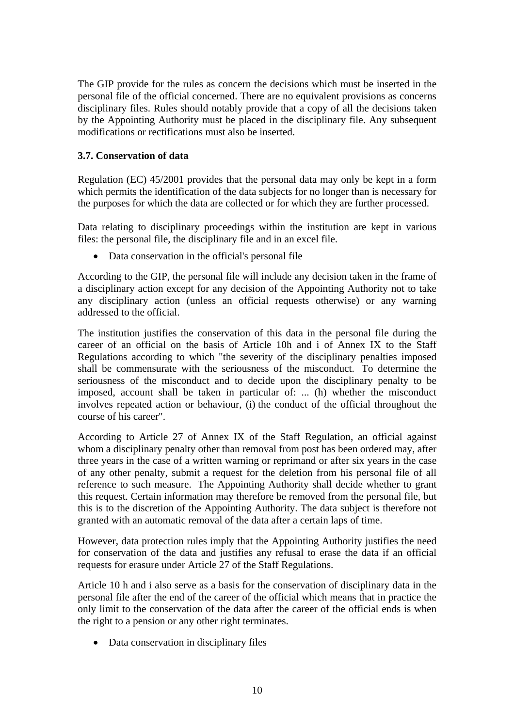The GIP provide for the rules as concern the decisions which must be inserted in the personal file of the official concerned. There are no equivalent provisions as concerns disciplinary files. Rules should notably provide that a copy of all the decisions taken by the Appointing Authority must be placed in the disciplinary file. Any subsequent modifications or rectifications must also be inserted.

### **3.7. Conservation of data**

Regulation (EC) 45/2001 provides that the personal data may only be kept in a form which permits the identification of the data subjects for no longer than is necessary for the purposes for which the data are collected or for which they are further processed.

Data relating to disciplinary proceedings within the institution are kept in various files: the personal file, the disciplinary file and in an excel file.

• Data conservation in the official's personal file

According to the GIP, the personal file will include any decision taken in the frame of a disciplinary action except for any decision of the Appointing Authority not to take any disciplinary action (unless an official requests otherwise) or any warning addressed to the official.

The institution justifies the conservation of this data in the personal file during the career of an official on the basis of Article 10h and i of Annex IX to the Staff Regulations according to which "the severity of the disciplinary penalties imposed shall be commensurate with the seriousness of the misconduct. To determine the seriousness of the misconduct and to decide upon the disciplinary penalty to be imposed, account shall be taken in particular of: ... (h) whether the misconduct involves repeated action or behaviour, (i) the conduct of the official throughout the course of his career".

According to Article 27 of Annex IX of the Staff Regulation, an official against whom a disciplinary penalty other than removal from post has been ordered may, after three years in the case of a written warning or reprimand or after six years in the case of any other penalty, submit a request for the deletion from his personal file of all reference to such measure. The Appointing Authority shall decide whether to grant this request. Certain information may therefore be removed from the personal file, but this is to the discretion of the Appointing Authority. The data subject is therefore not granted with an automatic removal of the data after a certain laps of time.

However, data protection rules imply that the Appointing Authority justifies the need for conservation of the data and justifies any refusal to erase the data if an official requests for erasure under Article 27 of the Staff Regulations.

Article 10 h and i also serve as a basis for the conservation of disciplinary data in the personal file after the end of the career of the official which means that in practice the only limit to the conservation of the data after the career of the official ends is when the right to a pension or any other right terminates.

• Data conservation in disciplinary files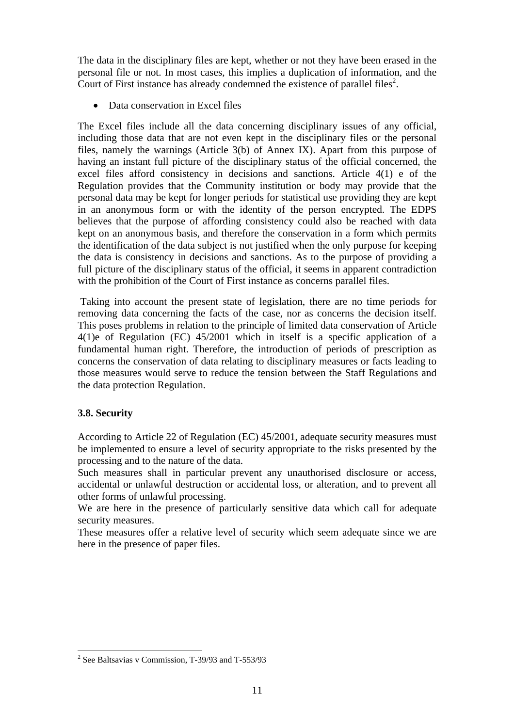The data in the disciplinary files are kept, whether or not they have been erased in the personal file or not. In most cases, this implies a duplication of information, and the Court of First instance has already condemned the existence of parallel files<sup>[2](#page-10-0)</sup>.

• Data conservation in Excel files

The Excel files include all the data concerning disciplinary issues of any official, including those data that are not even kept in the disciplinary files or the personal files, namely the warnings (Article 3(b) of Annex IX). Apart from this purpose of having an instant full picture of the disciplinary status of the official concerned, the excel files afford consistency in decisions and sanctions. Article 4(1) e of the Regulation provides that the Community institution or body may provide that the personal data may be kept for longer periods for statistical use providing they are kept in an anonymous form or with the identity of the person encrypted. The EDPS believes that the purpose of affording consistency could also be reached with data kept on an anonymous basis, and therefore the conservation in a form which permits the identification of the data subject is not justified when the only purpose for keeping the data is consistency in decisions and sanctions. As to the purpose of providing a full picture of the disciplinary status of the official, it seems in apparent contradiction with the prohibition of the Court of First instance as concerns parallel files.

Taking into account the present state of legislation, there are no time periods for removing data concerning the facts of the case, nor as concerns the decision itself. This poses problems in relation to the principle of limited data conservation of Article 4(1)e of Regulation (EC) 45/2001 which in itself is a specific application of a fundamental human right. Therefore, the introduction of periods of prescription as concerns the conservation of data relating to disciplinary measures or facts leading to those measures would serve to reduce the tension between the Staff Regulations and the data protection Regulation.

# **3.8. Security**

 $\overline{a}$ 

According to Article 22 of Regulation (EC) 45/2001, adequate security measures must be implemented to ensure a level of security appropriate to the risks presented by the processing and to the nature of the data.

Such measures shall in particular prevent any unauthorised disclosure or access, accidental or unlawful destruction or accidental loss, or alteration, and to prevent all other forms of unlawful processing.

We are here in the presence of particularly sensitive data which call for adequate security measures.

These measures offer a relative level of security which seem adequate since we are here in the presence of paper files.

<span id="page-10-0"></span><sup>&</sup>lt;sup>2</sup> See Baltsavias v Commission, T-39/93 and T-553/93